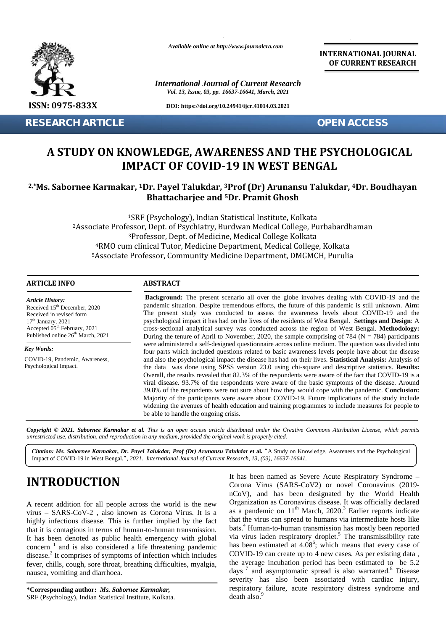

**RESEARCH ARTICLE OPEN ACCESS** 

*Available online at http://www.journalcra.com*

*International Journal of Current Research Vol. 13, Issue, 03, pp. 16637-16641, March, 2021*

**DOI: https://doi.org/10.24941/ijcr.41014.03.2021**

**INTERNATIONAL JOURNAL OF CURRENT RESEARCH**

# **A STUDY ON KNOWLEDGE, AWARENESS AND THE PSYCHOLOGICAL A STUDY PSYCHOLOGICALIMPACT OF COVID-19 IN WEST BENGAL**

## **2,\*Ms. Sabornee Karmakar, <sup>1</sup>Dr. Payel Talukdar, <sup>3</sup>Prof (Dr) Arunansu Talukdar, <sup>4</sup>Dr. Boudhayan Talukdar, 5Dr. Pramit GhoshBhattacharjee and <sup>5</sup>Dr. Pramit Ghosh**

SRF (Psychology), Indian Statistical Institute, Kolkata Associate Professor, Dept. of Psychiatry, Burdwan Medical College, Purbabardhaman Professor, Dept. of Medicine, Medical College Kolkata RMO cum clinical Tutor, Medicine Department, Medical College, Kolkata 4RMO cum clinical Tutor, Medicine Department, Medical College, Kolkata<br>5Associate Professor, Community Medicine Department, DMGMCH, Purulia tistical Institute, Kolkata<br>Iwan Medical College, Pi<br>Medical College Kolkata

#### **ARTICLE INFO ABSTRACT ARTICLE ABSTRACT**

*Article History: Article History:*  $\text{Received } 15^{\text{th}}$  December, 2020 Received in revised form Received in revised form  $17<sup>th</sup> January, 2021$ Received 15 December, 2020<br>
Received in revised form<br>  $17^{\text{th}}$  January, 2021<br>
Accepted 05<sup>th</sup> February, 2021 com Published online  $26<sup>th</sup>$  March, 2021 **A STUDY OF**<br> **A STUDY OF**<br>
<sup>2,\*</sup>**Ms. Sabornee Kar**<br>
<sup>4</sup>RM<br>
<sup>5</sup>Associate<br> **ARTICLE INFO**<br> **ARTICLE INFO**<br> **ARTICLE INFO**<br> **Article History:**<br>
Received in revised form<br>  $17^{\text{th}}$  January, 2021<br>  $17^{\text{th}}$  January, 2021<br>  $1$ 

*Key Words:*

COVID-19, Pandemic, Awareness, Psychological Impact.

**Background:** The present scenario all over the globe involves dealing with COVID-19 and the **Background:** The present scenario all over the globe involves dealing with COVID-19 and the pandemic situation. Despite tremendous efforts, the future of this pandemic is still unknown. **Aim:** The present study was conducted to assess the awareness levels about COVID-19 and the psychological impact it has had on the lives of the residents of West Bengal. **Settings and Design**: A The present study was conducted to assess the awareness levels about COVID-19 and the psychological impact it has had on the lives of the residents of West Bengal. **Settings and Design**: A cross-sectional analytical survey During the tenure of April to November, 2020, the sample comprising of 784 ( $N = 784$ ) participants were administered a self-designed questionnaire across online medium. The question was divided into four parts which included questions related to basic awareness levels people have about the disease and also the psychological impact the disease has had on their lives. **Statistical Analysis:** Analysis of the data was done using SPSS version 23.0 using chi-square and descriptive statistics. **Results:** the the data was done using SPSS version 23.0 using chi-square and descriptive statistics. **Results:**<br>Overall, the results revealed that 82.3% of the respondents were aware of the fact that COVID-19 is a viral disease. 93.7% of the respondents were aware of the basic symptoms of the disease. Around 39.8% of the respondents were not sure about how they would cope with the pandemic. **Conclusion:** Majority of the participants were aware about COVID-19. Future implications of the study include widening the avenues of health education and training programmes to include measures for people to be able to handle the ongoing crisis. During the tenure of April to November, 2020, the sample comprising of 784 (N = 784) were administered a self-designed questionnaire across online medium. The question was four parts which included questions related to bas Overall, the results revealed that 82.3% of the respondents were aware of the fact that COVID-19 viral disease. Aro 39.8% of the respondents were not sure about how they would cope with the pandemic. **Conclusi** Majority of STRF 1997-1993 2020. It of *E. A. C. A. C. A. C. A. C. A. C. A. C. A. C. A. C. A. C. A. C. A. C. A. C. A. C. A. C. A. C. A. C. A. C. A. C. A. C. A. C. A. C. A. C. A. C. A. C. A. C. A. C. A. C. A. C. A. C. A. C. A. C. A. C.* arb (2020 pandemic situation. Despite tremendous efforts, the future of this pandemic situation<br>
arb The present study was conducted to assess the awareness levels about COV<br>
2021 pychological impact it has had on the live

**Copyright** © 2021. Sabornee Karmakar et al. This is an open access article distributed under the Creative Commons Attribution License, which permits<br>unrestricted use, distribution, and reproduction in any medium, provided *unrestricted use,distribution, and reproduction in any medium, provided the original work is properly cited.*

*Citation: Ms. Sabornee Karmakar, Dr. Payel Talukdar, Prof (Dr) Arunansu Talukdar* **et al***. "*A Study on Knowledge, Awareness and the Psychological Impact of COVID-19 in West Bengal*.", 2021. International Journal of Current Research, 13, (03), 16637-16641.*

# **INTRODUCTION INTRODUCTION**

A recent addition for all people across the world is the new virus – SARS-CoV-2 , also known as Corona Virus. It is a highly infectious disease. This is further implied by the fact that it is contagious in terms of human-to-human transmission. It has been denoted as public health emergency with global  $concern<sup>1</sup>$  and is also considered a life threatening pandemic disease.<sup>2</sup> It comprises of symptoms of infection which includes  $C<sub>C</sub>$ fever, chills, cough, sore throat, breathing difficulties, myalgia, nausea, vomiting and diarrhoea. nausea, A recent addition for all people across the world is the new<br>virus – SARS-CoV-2, also known as Corona Virus. It is a<br>highly infectious disease. This is further implied by the fact It has been denoted as public health emergency with global concern  $\frac{1}{1}$  and is also considered a life threatening pandemic disease.<sup>2</sup> It comprises of symptoms of infection which includes fever, chills, cough, sore t

**\*Corresponding author:** *Ms. Sabornee Karmakar,* **\*Corresponding** SRF (Psychology), Indian Statistical Institute, Kolkata.

It has been named as Severe Acute Respiratory Syndrome – Corona Virus (SARS-CoV2) or novel Coronavirus (2019 nCoV), and has been designated by the World Health Organization as Coronavirus disease. It was officially declared as a pandemic on  $11<sup>th</sup>$  March, 2020.<sup>3</sup> Earlier reports indicate that the virus can spread to humans via intermediate hosts like bats.<sup>4</sup> Human-to-human transmission has mostly been reported in terms of human-to-human transmission. bats. Human-to-human transmission has mostly been reported<br>Las public health emergency with global via virus laden respiratory droplet.<sup>5</sup> The transmissibility rate has been estimated at 4.08<sup>6</sup>; which means that every case of COVID-19 can create up to 4 new cases. As per existing data , the average incubation period has been estimated to be 5.2 days  $\frac{7}{1}$  and asymptomatic spread is also warranted.<sup>8</sup> Disease severity has also been associated with cardiac injury, respiratory failure, acute respiratory distress syndrome and death also.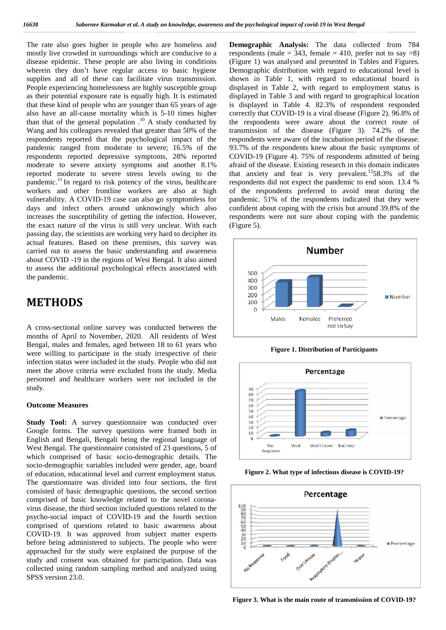The rate also goes higher in people who are homeless and mostly live crowded in surroundings which are conducive to a The rate also goes higher in people who are homeless and **De** mostly live crowded in surroundings which are conducive to a res disease epidemic. These people are also living in conditions (Fi wherein they don't have regular access to basic hygiene Der supplies and all of these can facilitate virus transmission. People experiencing homelessness are highly susceptible group as their potential exposure rate is equally high. It is estimated that these kind of people who are younger than 65 years of age also have an all-cause mortality which is 5-10 times higher than that of the general population  $10^{\circ}$  A study conducted by Wang and his colleagues revealed that greater than 50% of the tran respondents reported that the psychological impact of the pandemic ranged from moderate to severe; 16.5% of the respondents reported depressive symptoms, 28% reported moderate to severe anxiety symptoms and another 8.1% reported moderate to severe stress levels owing to the pandemic.<sup>11</sup> In regard to risk potency of the virus, healthcare workers and other frontline workers are also at high vulnerability. A COVID-19 case can also go symptomless for days and infect others around unknowingly which also increases the susceptibility of getting the infection. However, the exact nature of the virus is still very unclear. With each passing day, the scientists are working very hard to decipher its actual features. Based on these premises, this survey was carried out to assess the basic understanding and awareness about COVID -19 in the regions of West Bengal. It also aimed to assess the additional psychological effects associated with the pandemic. People experiencing homelessness are highly susceptible group di<br>as their potential exposure rate is equally high. It is estimated di<br>that these kind of people who are younger than 65 years of age is<br>also have an all-cause than that of the general population .<sup>10</sup> A study conducted by the Wang and his colleagues revealed that greater than 50% of the tran respondents reported that the psychological impact of the resp pandemic ranged from moderate to severe; 16.5% of the 93<br>respondents reported depressive symptoms, 28% reported C<br>moderate to severe stress levels owing to the the<br>pandemic.<sup>11</sup> In regard to risk potency of the virus, heal days and infect others around unknowingly which also<br>increases the susceptibility of getting the infection. However,<br>the exact nature of the virus is still very unclear. With each<br>passing day, the scientists are working ve **Figure 2. Figure 2. Figure 2. Figure 2. Figure 2. Figure 2. Figure 2. Figure 2. Figure 2. Figure 2. Figure 2. Figure 2. Figure 2. Figure 2. Figure 2. Figure 2. Figure 2. Figure 2. Figu** 

# **METHODS METHODS**

A cross-sectional online survey was conducted between the A cross-sectional online survey was conducted between the months of April to November, 2020. All residents of West Bengal, males and females, aged between 18 to 61 years who Bengal, males and females, aged between 18 to 61 years who were willing to participate in the study irrespective of their infection status were included in the study. People who did not<br>meet the above criteria were excluded from the study. Media<br>personnel and healthcare workers were not included in the meet the above criteria were excluded from the study. Media personnel and healthcare workers were not included in the study. study.

### **Outcome Measures**

**Outcome Measures**<br>**Study Tool:** A survey questionnaire was conducted over Google forms. The survey questions were framed both in English and Bengali, Bengali being the regional language of West Bengal. The questionnaire consisted of 23 questions, 5 of which comprised of basic socio-demographic details. The socio-demographic variables included were gender, age, board of education, educational level and current employment status. The questionnaire was divided into four sections, the first consisted of basic demographic questions, the second section comprised of basic knowledge related to the novel corona virus disease, the third section included questions related to the<br>psycho-social impact of COVID-19 and the fourth section<br>comprised of questions related to basic awareness about<br>COVID-19. It was approved from subject mat psycho-social impact of COVID-19 and the fourth section comprised of questions related to basic awareness about COVID-19. It was approved from subject matter experts before being administered to subjects. The people who were approached for the study were explained the purpose of the study and consent was obtained for participation. Data was collected using random sampling method and analyzed using SPSS version 23.0. Google forms. The survey questions were framed both in English and Bengali, Bengali being the regional language of West Bengal. The questionnaire consisted of 23 questions, 5 of which comprised of basic socio-demographic d The questionnaire was divided into four sections, the first consisted of basic demographic questions, the second section comprised of basic knowledge related to the novel coronavirus disease, the third section included questions related to the psycho-social impact of COVID-19 and the fourth section comprised of questions related to basic awareness about COVID-19. It was approved from subject matter experts<br>before being administered to subjects. The people who were<br>approached for the study were explained the purpose of the<br>study and consent was obtained for participation.

**Demographic Analysis:** The data collected from 784 respondents (male =  $343$ , female =  $410$ , prefer not to say =8) (Figure 1) was analysed and presented in Tables and Figures. Demographic distribution with regard to educational level is shown in Table 1, with regard to educational board is displayed in Table 2, with regard to employment status is displayed in Table 3 and with regard to geographical location is displayed in Table 4. 82.3% of respondent responded correctly that COVID-19 is a viral disease (Figure 2). 96.8% of the respondents were aware about the correct route of transmission of the disease (Figure 3). 74.2% of the respondents were aware of the incubation period of the disease. 93.7% of the respondents knew about the basic symptoms of COVID-19 (Figure 4). 75% of respondents admitted of being afraid of the disease. Existing research in this domain indicates that anxiety and fear is very prevalent.<sup>12</sup>58.3% of the respondents did not expect the pandemic to end soon. 13.4 % of the respondents preferred to avoid meat during the pandemic. 51% of the respondents indicated that they were confident about coping with the crisis but around 39.8% of the respondents were not sure about coping with the pandemic (Figure 5). **s** (male = 343, female = 410, prefer not to say =8) was analysed and presented in Tables and Figures.<br>hic distribution with regard to educational level is Table 1, with regard to educational board is in Table 2, with reg respondents were aware of the incubation period of the disease.<br>93.7% of the respondents knew about the basic symptoms of<br>COVID-19 (Figure 4). 75% of respondents admitted of being<br>afraid of the disease. Existing research



**Figure 1. Distribution of Participants Figure** 



**Figure 2. What type of infectious disease is COVID-19?**



**Figure 3. What is the main route of transmission of COVID-19?**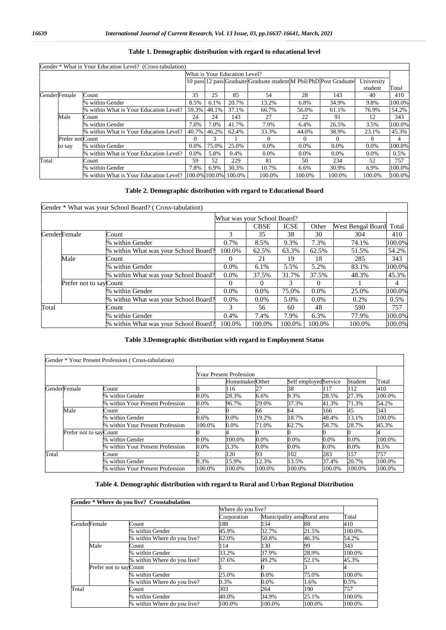|                  | Gender * What is Your Education Level? (Cross-tabulation)     |          |       |                               |                                                                    |            |         |            |        |
|------------------|---------------------------------------------------------------|----------|-------|-------------------------------|--------------------------------------------------------------------|------------|---------|------------|--------|
|                  |                                                               |          |       | What is Your Education Level? |                                                                    |            |         |            |        |
|                  |                                                               |          |       |                               | 10 pass 12 pass Graduate Graduate student M Phil/PhD Post Graduate |            |         | University |        |
|                  |                                                               |          |       |                               |                                                                    |            |         | student    | Total  |
| Gender Female    | Count                                                         | 35       | 25    | 85                            | 54                                                                 | 28         | 143     | 40         | 410    |
|                  | % within Gender                                               | 8.5%     | 6.1%  | 20.7%                         | 13.2%                                                              | 6.8%       | 34.9%   | 9.8%       | 100.0% |
|                  | % within What is Your Education Level?                        | 59.3%    | 48.1% | 37.1%                         | 66.7%                                                              | 56.0%      | 61.1%   | 76.9%      | 54.2%  |
| Male             | Count                                                         | 24       | 24    | 143                           | 27                                                                 | 22         | 91      | 12         | 343    |
|                  | % within Gender                                               | 7.0%     | 7.0%  | 41.7%                         | 7.9%                                                               | 6.4%       | 26.5%   | 3.5%       | 100.0% |
|                  | % within What is Your Education Level?                        | 40.7%    | 46.2% | 62.4%                         | 33.3%                                                              | 44.0%      | 38.9%   | 23.1%      | 45.3%  |
| Prefer not Count |                                                               | $\Omega$ |       |                               | $\Omega$                                                           | $^{\circ}$ |         |            | 4      |
| to say           | % within Gender                                               | $0.0\%$  | 75.0% | 25.0%                         | $0.0\%$                                                            | $0.0\%$    | $0.0\%$ | $0.0\%$    | 100.0% |
|                  | % within What is Your Education Level?                        | $0.0\%$  | 5.8%  | 0.4%                          | $0.0\%$                                                            | $0.0\%$    | $0.0\%$ | $0.0\%$    | 0.5%   |
| Total            | Count                                                         | .59      | 52    | 229                           | 81                                                                 | 50         | 234     | 52         | 757    |
|                  | % within Gender                                               | 7.8%     | 6.9%  | 30.3%                         | 10.7%                                                              | 6.6%       | 30.9%   | 6.9%       | 100.0% |
|                  | % within What is Your Education Level?  100.0% 100.0%  100.0% |          |       |                               | 100.0%                                                             | 100.0%     | 100.0%  | 100.0%     | 100.0% |

#### **Table 1. Demographic distribution with regard to educational level**

#### **Table 2. Demographic distribution with regard to Educational Board**

|                         |      | Gender * What was your School Board? (Cross-tabulation) |          |             |                             |         |                   |        |  |
|-------------------------|------|---------------------------------------------------------|----------|-------------|-----------------------------|---------|-------------------|--------|--|
|                         |      |                                                         |          |             | What was your School Board? |         |                   |        |  |
|                         |      |                                                         |          | <b>CBSE</b> | <b>ICSE</b>                 | Other   | West Bengal Board | Total  |  |
| <b>GenderFemale</b>     |      | Count                                                   |          | 35          | 38                          | 30      | 304               | 410    |  |
|                         |      | % within Gender                                         | 0.7%     | 8.5%        | 9.3%                        | 7.3%    | 74.1%             | 100.0% |  |
|                         |      | % within What was your School Board?                    | 100.0%   | 62.5%       | 63.3%                       | 62.5%   | 51.5%             | 54.2%  |  |
|                         | Male | Count                                                   |          | 21          | 19                          | 18      | 285               | 343    |  |
|                         |      | % within Gender                                         | $0.0\%$  | 6.1%        | 5.5%                        | 5.2%    | 83.1%             | 100.0% |  |
|                         |      | % within What was your School Board?                    | $0.0\%$  | 37.5%       | 31.7%                       | 37.5%   | 48.3%             | 45.3%  |  |
| Prefer not to say Count |      | $\Omega$                                                | $\theta$ |             | 0                           |         | 4                 |        |  |
|                         |      | % within Gender                                         | $0.0\%$  | $0.0\%$     | 75.0%                       | $0.0\%$ | 25.0%             | 100.0% |  |
|                         |      | % within What was your School Board?                    | $0.0\%$  | $0.0\%$     | 5.0%                        | $0.0\%$ | 0.2%              | 0.5%   |  |
| Total                   |      | Count                                                   | 3        | 56          | 60                          | 48      | 590               | 757    |  |
|                         |      | % within Gender                                         | 0.4%     | 7.4%        | 7.9%                        | 6.3%    | 77.9%             | 100.0% |  |
|                         |      | % within What was your School Board?                    | 100.0%   | 100.0%      | 100.0%                      | 100.0%  | 100.0%            | 100.0% |  |

#### **Table 3.Demographic distribution with regard to Employment Status**

|                         | Gender * Your Present Profession (Cross-tabulation) |                                |                |        |        |                       |         |        |
|-------------------------|-----------------------------------------------------|--------------------------------|----------------|--------|--------|-----------------------|---------|--------|
|                         |                                                     | <b>Your Present Profession</b> |                |        |        |                       |         |        |
|                         |                                                     |                                | HomemakerOther |        |        | Self employed Service | Student | Total  |
| <b>GenderFemale</b>     | Count                                               |                                | 116            | 27     | 38     | 117                   | 112     | 410    |
|                         | % within Gender                                     | 0.0%                           | 28.3%          | 6.6%   | 9.3%   | 28.5%                 | 27.3%   | 100.0% |
|                         | % within Your Present Profession                    | 0.0%                           | 96.7%          | 29.0%  | 37.3%  | 41.3%                 | 71.3%   | 54.2%  |
| Male                    | Count                                               |                                |                | 66     | 64     | 166                   | 45      | 343    |
|                         | % within Gender                                     | 0.6%                           | 0.0%           | 19.2%  | 18.7%  | 48.4%                 | 13.1%   | 100.0% |
|                         | % within Your Present Profession                    | 100.0%                         | 0.0%           | 71.0%  | 62.7%  | 58.7%                 | 28.7%   | 45.3%  |
| Prefer not to say Count |                                                     |                                |                |        |        |                       |         |        |
|                         | % within Gender                                     | 0.0%                           | 100.0%         | 0.0%   | 0.0%   | 0.0%                  | $0.0\%$ | 100.0% |
|                         | % within Your Present Profession                    | 0.0%                           | 3.3%           | 0.0%   | 0.0%   | 0.0%                  | $0.0\%$ | 0.5%   |
| Total                   | Count                                               |                                | 120            | 93     | 102    | 283                   | 157     | 757    |
|                         | % within Gender                                     | 0.3%                           | 15.9%          | 12.3%  | 13.5%  | 37.4%                 | 20.7%   | 100.0% |
|                         | % within Your Present Profession                    | 100.0%                         | 100.0%         | 100.0% | 100.0% | 100.0%                | 100.0%  | 100.0% |

#### **Table 4. Demographic distribution with regard to Rural and Urban Regional Distribution**

|                         |                             | Where do you live? | Total  |        |        |
|-------------------------|-----------------------------|--------------------|--------|--------|--------|
|                         |                             | Corporation        |        |        |        |
| GenderFemale            | Count                       | 188                | 134    | 88     | 410    |
|                         | % within Gender             | 45.9%              | 32.7%  | 21.5%  | 100.0% |
|                         | % within Where do you live? | 62.0%              | 50.8%  | 46.3%  | 54.2%  |
| Male                    | Count                       | 114                | 130    | 99     | 343    |
|                         | % within Gender             | 33.2%              | 37.9%  | 28.9%  | 100.0% |
|                         | % within Where do you live? | 37.6%              | 49.2%  | 52.1%  | 45.3%  |
| Prefer not to say Count |                             |                    |        |        |        |
|                         | % within Gender             | 25.0%              | 0.0%   | 75.0%  | 100.0% |
|                         | % within Where do you live? | 0.3%               | 0.0%   | 1.6%   | 0.5%   |
| Total                   | Count                       | 303                | 264    | 190    | 757    |
|                         | % within Gender             | 40.0%              | 34.9%  | 25.1%  | 100.0% |
|                         | % within Where do you live? | 100.0%             | 100.0% | 100.0% | 100.0% |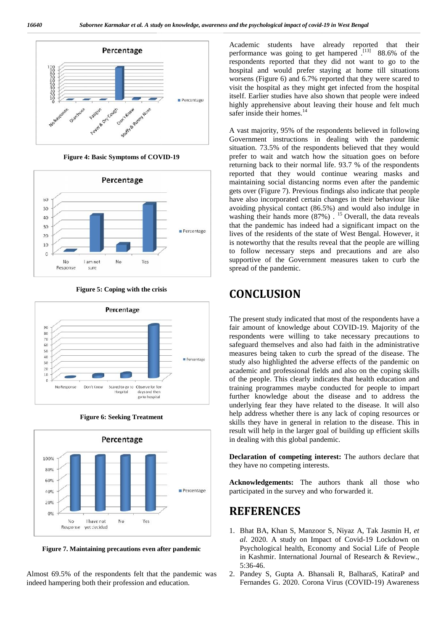

**Figure 4: Basic Symptoms of COVID-19 of COVID-19**











**Figure 7. Maintaining precautions even after pandemic**

Almost 69.5% of the respondents felt that the pandemic was 2.<br>indeed hampering both their profession and education. indeed hampering both their profession and education.

Academic students have already reported that their performance was going to get hampered  $^{[13]}$  88.6% of the respondents reported that they did not want to go to the hospital and would prefer staying at home till situations worsens (Figure 6) and 6.7% reported that they were scared to visit the hospital as they might get infected from the hospital itself. Earlier studies have also shown that people were indeed highly apprehensive about leaving their house and felt much safer inside their homes.<sup>14</sup>

A vast majority, 95% of the respondents believed in following Government instructions in dealing with the pandemic situation. 73.5% of the respondents believed that they would prefer to wait and watch how the situation goes on before returning back to their normal life. 93.7 % of the respondents reported that they would continue wearing masks and maintaining social distancing norms even after the pandemic gets over (Figure 7). Previous findings also indicate that people have also incorporated certain changes in their behaviour like avoiding physical contact (86.5%) and would also indulge in washing their hands more  $(87%)$ . <sup>15</sup> Overall, the data reveals that the pandemic has indeed had a significant impact on the lives of the residents of the state of West Bengal. However, it is noteworthy that the results reveal that the people are willing to follow necessary steps and precautions and are also supportive of the Government measures taken to curb the spread of the pandemic. performance was going to get hampend <sup>131</sup> 86.6% of the<br>perspondents repord that they did not want to go to the<br>hospital and would prefer staying at home till situations<br>were respondents referred from the system of the mo Notice distribution of the conomy of the presentation and the presentation of the presentation of the presentation of the conomic state of the present of the state of the state of the state of the state of the state of th

# **CONCLUSION**

The present study indicated that most of the respondents have a fair amount of knowledge about COVID-19. Majority of the respondents were willing to take necessary precautions to safeguard themselves and also had faith in the administrative measures being taken to curb the spread of the disease. The study also highlighted the adverse effects of the pandemic on academic and professional fields and also on the coping skills of the people. This clearly indicates that health education and training programmes maybe conducted for people to impart further knowledge about the disease and to address the underlying fear they have related to the disease. It will also help address whether there is any lack of coping resources or skills they have in general in relation to the disease. This in result will help in the larger goal of building up efficient skills in dealing with this global pandemic.

**Declaration of competing interest:** The authors declare that they have no competing interests.

**Acknowledgements:** The authors thank all those who participated in the survey and who forwarded it.

# **REFERENCES**

- 1. Bhat BA, Khan S, Manzoor S, Niyaz A, Tak Jasmin H, et *al*. 2020. A study on Impact of Covid-19 Lockdown on Psychological health, Economy and Social Life of People in Kashmir. International Journal of Research & Review., 5:36-46.
- 2. Pandey S, Gupta A. Bhansali R, BalharaS, KatiraP and Fernandes G. 2020. Corona Virus (COVID-19) Awareness